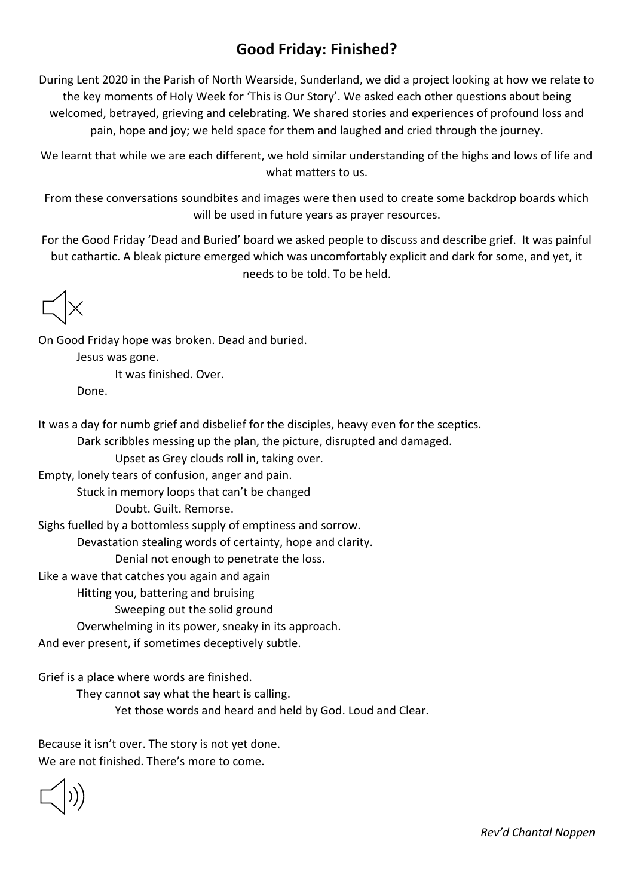## **Good Friday: Finished?**

During Lent 2020 in the Parish of North Wearside, Sunderland, we did a project looking at how we relate to the key moments of Holy Week for 'This is Our Story'. We asked each other questions about being welcomed, betrayed, grieving and celebrating. We shared stories and experiences of profound loss and pain, hope and joy; we held space for them and laughed and cried through the journey.

We learnt that while we are each different, we hold similar understanding of the highs and lows of life and what matters to us.

From these conversations soundbites and images were then used to create some backdrop boards which will be used in future years as prayer resources.

For the Good Friday 'Dead and Buried' board we asked people to discuss and describe grief. It was painful but cathartic. A bleak picture emerged which was uncomfortably explicit and dark for some, and yet, it needs to be told. To be held.

On Good Friday hope was broken. Dead and buried. Jesus was gone. It was finished. Over. Done.

It was a day for numb grief and disbelief for the disciples, heavy even for the sceptics.

Dark scribbles messing up the plan, the picture, disrupted and damaged.

Upset as Grey clouds roll in, taking over.

Empty, lonely tears of confusion, anger and pain.

Stuck in memory loops that can't be changed

Doubt. Guilt. Remorse.

Sighs fuelled by a bottomless supply of emptiness and sorrow.

Devastation stealing words of certainty, hope and clarity.

Denial not enough to penetrate the loss.

Like a wave that catches you again and again

Hitting you, battering and bruising

Sweeping out the solid ground

Overwhelming in its power, sneaky in its approach.

And ever present, if sometimes deceptively subtle.

Grief is a place where words are finished.

They cannot say what the heart is calling.

Yet those words and heard and held by God. Loud and Clear.

Because it isn't over. The story is not yet done. We are not finished. There's more to come.